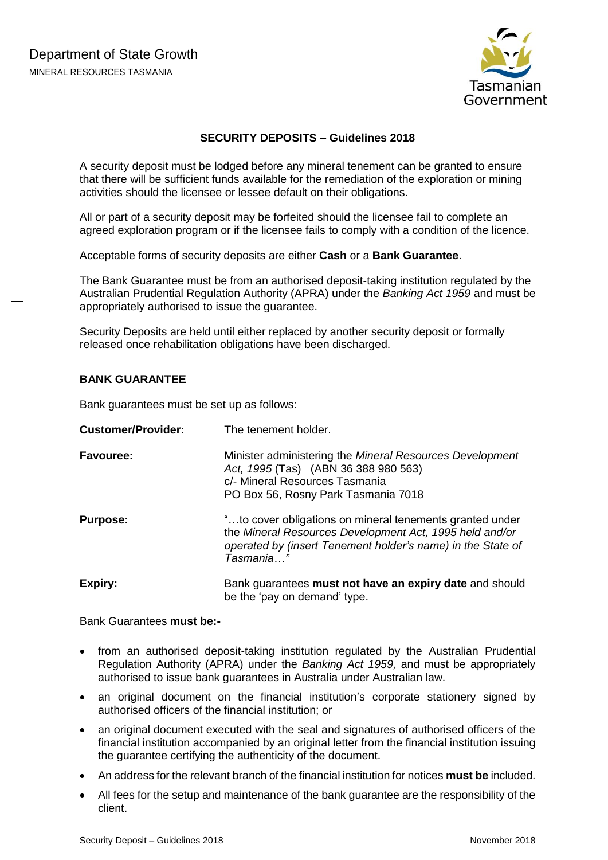

# **SECURITY DEPOSITS – Guidelines 2018**

A security deposit must be lodged before any mineral tenement can be granted to ensure that there will be sufficient funds available for the remediation of the exploration or mining activities should the licensee or lessee default on their obligations.

All or part of a security deposit may be forfeited should the licensee fail to complete an agreed exploration program or if the licensee fails to comply with a condition of the licence.

Acceptable forms of security deposits are either **Cash** or a **Bank Guarantee**.

The Bank Guarantee must be from an authorised deposit-taking institution regulated by the Australian Prudential Regulation Authority (APRA) under the *Banking Act 1959* and must be appropriately authorised to issue the guarantee.

Security Deposits are held until either replaced by another security deposit or formally released once rehabilitation obligations have been discharged.

#### **BANK GUARANTEE**

Bank guarantees must be set up as follows:

| <b>Customer/Provider:</b> | The tenement holder.                                                                                                                                                                            |
|---------------------------|-------------------------------------------------------------------------------------------------------------------------------------------------------------------------------------------------|
| <b>Favouree:</b>          | Minister administering the Mineral Resources Development<br>Act, 1995 (Tas) (ABN 36 388 980 563)<br>c/- Mineral Resources Tasmania<br>PO Box 56, Rosny Park Tasmania 7018                       |
| <b>Purpose:</b>           | "to cover obligations on mineral tenements granted under<br>the Mineral Resources Development Act, 1995 held and/or<br>operated by (insert Tenement holder's name) in the State of<br>Tasmania" |
| Expiry:                   | Bank guarantees must not have an expiry date and should<br>be the 'pay on demand' type.                                                                                                         |

Bank Guarantees **must be:-**

- from an authorised deposit-taking institution regulated by the Australian Prudential Regulation Authority (APRA) under the *Banking Act 1959,* and must be appropriately authorised to issue bank guarantees in Australia under Australian law.
- an original document on the financial institution's corporate stationery signed by authorised officers of the financial institution; or
- an original document executed with the seal and signatures of authorised officers of the financial institution accompanied by an original letter from the financial institution issuing the guarantee certifying the authenticity of the document.
- An address for the relevant branch of the financial institution for notices **must be** included.
- All fees for the setup and maintenance of the bank guarantee are the responsibility of the client.